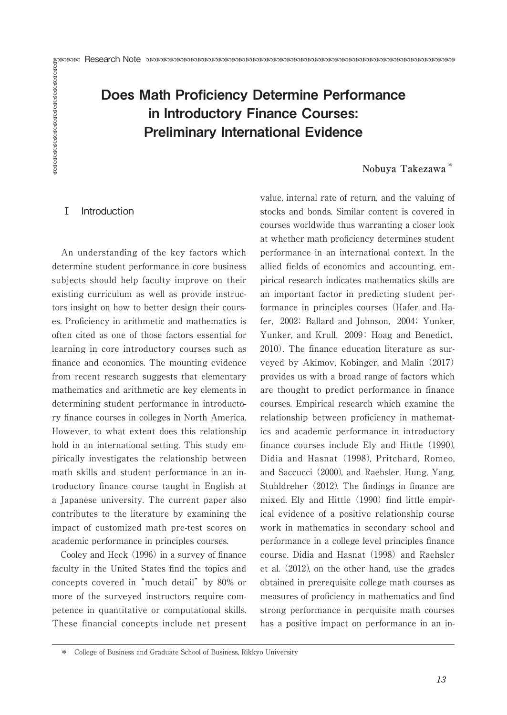# Example Research Note<br>
Research Note<br> **Does Math Proficiency Determine Performance<br>
in Introductory Finance Courses:**<br>
Preliminary International Evidence<br>
Nobuya Takezawa<br>
Nobuya Takezawa<br>
The Introduction<br>
Introduction<br>
R Does Math Proficiency Determine Performance in Introductory Finance Courses: Preliminary International Evidence

# **Nobuya Takezawa \***

## Ⅰ Introduction

An understanding of the key factors which determine student performance in core business subjects should help faculty improve on their existing curriculum as well as provide instructors insight on how to better design their courses. Proficiency in arithmetic and mathematics is often cited as one of those factors essential for learning in core introductory courses such as finance and economics. The mounting evidence from recent research suggests that elementary mathematics and arithmetic are key elements in determining student performance in introductory finance courses in colleges in North America. However, to what extent does this relationship hold in an international setting. This study empirically investigates the relationship between math skills and student performance in an introductory finance course taught in English at a Japanese university. The current paper also contributes to the literature by examining the impact of customized math pre-test scores on academic performance in principles courses.

Cooley and Heck (1996) in a survey of finance faculty in the United States find the topics and concepts covered in "much detail" by 80% or more of the surveyed instructors require competence in quantitative or computational skills. These financial concepts include net present value, internal rate of return, and the valuing of stocks and bonds. Similar content is covered in courses worldwide thus warranting a closer look at whether math proficiency determines student performance in an international context. In the allied fields of economics and accounting, empirical research indicates mathematics skills are an important factor in predicting student performance in principles courses (Hafer and Hafer,2002; Ballard and Johnson,2004; Yunker, Yunker, and Krull, 2009; Hoag and Benedict, 2010). The finance education literature as surveyed by Akimov, Kobinger, and Malin (2017) provides us with a broad range of factors which are thought to predict performance in finance courses. Empirical research which examine the relationship between proficiency in mathematics and academic performance in introductory finance courses include Ely and Hittle (1990), Didia and Hasnat (1998), Pritchard, Romeo, and Saccucci (2000), and Raehsler, Hung, Yang, Stuhldreher (2012). The findings in finance are mixed. Ely and Hittle (1990) find little empirical evidence of a positive relationship course work in mathematics in secondary school and performance in a college level principles finance course. Didia and Hasnat (1998) and Raehsler et al. (2012), on the other hand, use the grades obtained in prerequisite college math courses as measures of proficiency in mathematics and find strong performance in perquisite math courses has a positive impact on performance in an in-

<sup>\*</sup> College of Business and Graduate School of Business, Rikkyo University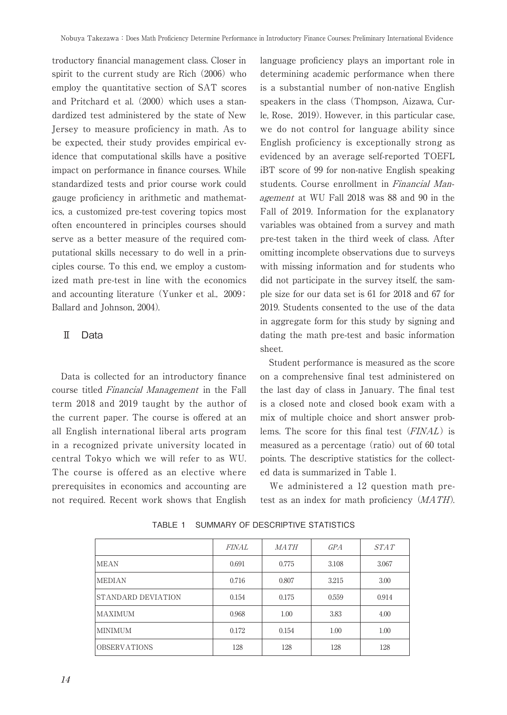troductory financial management class. Closer in spirit to the current study are Rich (2006) who employ the quantitative section of SAT scores and Pritchard et al. (2000) which uses a standardized test administered by the state of New Jersey to measure proficiency in math. As to be expected, their study provides empirical evidence that computational skills have a positive impact on performance in finance courses. While standardized tests and prior course work could gauge proficiency in arithmetic and mathematics, a customized pre-test covering topics most often encountered in principles courses should serve as a better measure of the required computational skills necessary to do well in a principles course. To this end, we employ a customized math pre-test in line with the economics and accounting literature (Yunker et al., 2009; Ballard and Johnson, 2004).

## Ⅱ Data

Data is collected for an introductory finance course titled Financial Management in the Fall term 2018 and 2019 taught by the author of the current paper. The course is offered at an all English international liberal arts program in a recognized private university located in central Tokyo which we will refer to as WU. The course is offered as an elective where prerequisites in economics and accounting are not required. Recent work shows that English

language proficiency plays an important role in determining academic performance when there is a substantial number of non-native English speakers in the class (Thompson, Aizawa, Curle, Rose, 2019). However, in this particular case, we do not control for language ability since English proficiency is exceptionally strong as evidenced by an average self-reported TOEFL iBT score of 99 for non-native English speaking students. Course enrollment in Financial Management at WU Fall 2018 was 88 and 90 in the Fall of 2019. Information for the explanatory variables was obtained from a survey and math pre-test taken in the third week of class. After omitting incomplete observations due to surveys with missing information and for students who did not participate in the survey itself, the sample size for our data set is 61 for 2018 and 67 for 2019. Students consented to the use of the data in aggregate form for this study by signing and dating the math pre-test and basic information sheet.

Student performance is measured as the score on a comprehensive final test administered on the last day of class in January. The final test is a closed note and closed book exam with a mix of multiple choice and short answer problems. The score for this final test (FINAL) is measured as a percentage (ratio) out of 60 total points. The descriptive statistics for the collected data is summarized in Table 1.

We administered a 12 question math pretest as an index for math proficiency (MATH).

|                     | <b>FINAL</b> | MATH  | <b>GPA</b> | STAT  |
|---------------------|--------------|-------|------------|-------|
| <b>MEAN</b>         | 0.691        | 0.775 | 3.108      | 3.067 |
| <b>MEDIAN</b>       | 0.716        | 0.807 | 3.215      | 3.00  |
| STANDARD DEVIATION  | 0.154        | 0.175 | 0.559      | 0.914 |
| MAXIMUM             | 0.968        | 1.00  | 3.83       | 4.00  |
| <b>MINIMUM</b>      | 0.172        | 0.154 | 1.00       | 1.00  |
| <b>OBSERVATIONS</b> | 128          | 128   | 128        | 128   |

TABLE 1 SUMMARY OF DESCRIPTIVE STATISTICS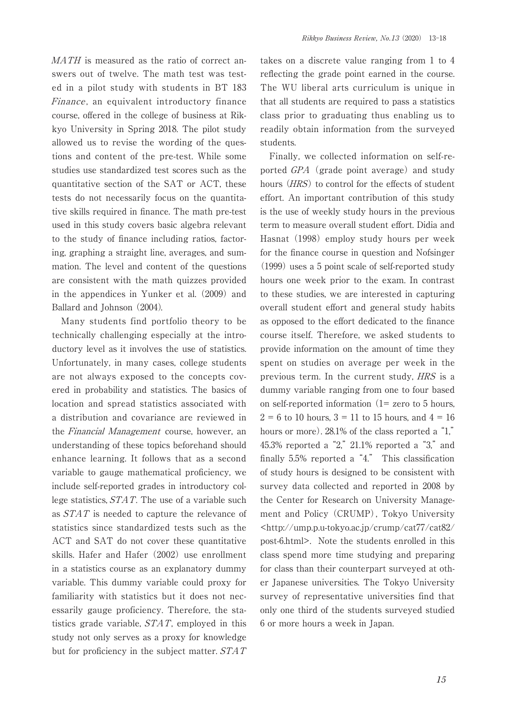MATH is measured as the ratio of correct answers out of twelve. The math test was tested in a pilot study with students in BT 183 Finance, an equivalent introductory finance course, offered in the college of business at Rikkyo University in Spring 2018. The pilot study allowed us to revise the wording of the questions and content of the pre-test. While some studies use standardized test scores such as the quantitative section of the SAT or ACT, these tests do not necessarily focus on the quantitative skills required in finance. The math pre-test used in this study covers basic algebra relevant to the study of finance including ratios, factoring, graphing a straight line, averages, and summation. The level and content of the questions are consistent with the math quizzes provided in the appendices in Yunker et al. (2009) and Ballard and Johnson (2004).

Many students find portfolio theory to be technically challenging especially at the introductory level as it involves the use of statistics. Unfortunately, in many cases, college students are not always exposed to the concepts covered in probability and statistics. The basics of location and spread statistics associated with a distribution and covariance are reviewed in the Financial Management course, however, an understanding of these topics beforehand should enhance learning. It follows that as a second variable to gauge mathematical proficiency, we include self-reported grades in introductory college statistics, STAT. The use of a variable such as STAT is needed to capture the relevance of statistics since standardized tests such as the ACT and SAT do not cover these quantitative skills. Hafer and Hafer (2002) use enrollment in a statistics course as an explanatory dummy variable. This dummy variable could proxy for familiarity with statistics but it does not necessarily gauge proficiency. Therefore, the statistics grade variable, STAT, employed in this study not only serves as a proxy for knowledge but for proficiency in the subject matter. STAT takes on a discrete value ranging from 1 to 4 reflecting the grade point earned in the course. The WU liberal arts curriculum is unique in that all students are required to pass a statistics class prior to graduating thus enabling us to readily obtain information from the surveyed students.

Finally, we collected information on self-reported GPA (grade point average) and study hours (HRS) to control for the effects of student effort. An important contribution of this study is the use of weekly study hours in the previous term to measure overall student effort. Didia and Hasnat (1998) employ study hours per week for the finance course in question and Nofsinger (1999) uses a 5 point scale of self-reported study hours one week prior to the exam. In contrast to these studies, we are interested in capturing overall student effort and general study habits as opposed to the effort dedicated to the finance course itself. Therefore, we asked students to provide information on the amount of time they spent on studies on average per week in the previous term. In the current study, HRS is a dummy variable ranging from one to four based on self-reported information  $(1=$  zero to 5 hours,  $2 = 6$  to 10 hours,  $3 = 11$  to 15 hours, and  $4 = 16$ hours or more). 28.1% of the class reported a "1," 45.3% reported a "2," 21.1% reported a "3," and finally 5.5% reported a "4." This classification of study hours is designed to be consistent with survey data collected and reported in 2008 by the Center for Research on University Management and Policy (CRUMP), Tokyo University <http://ump.p.u-tokyo.ac.jp/crump/cat77/cat82/ post-6.html>. Note the students enrolled in this class spend more time studying and preparing for class than their counterpart surveyed at other Japanese universities. The Tokyo University survey of representative universities find that only one third of the students surveyed studied 6 or more hours a week in Japan.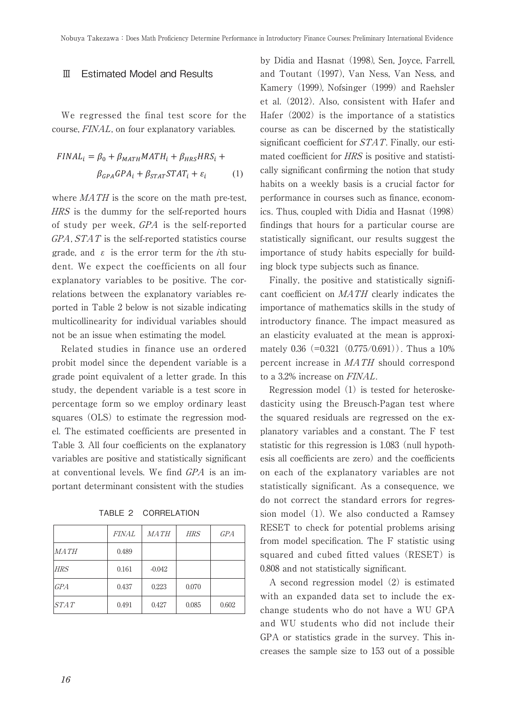## Ⅲ Estimated Model and Results

We regressed the final test score for the course, FINAL, on four explanatory variables.

$$
FINAL_i = \beta_0 + \beta_{MATH} MATH_i + \beta_{HRS} HRS_i +
$$
  

$$
\beta_{GPA} GPA_i + \beta_{STAT} STAT_i + \varepsilon_i \tag{1}
$$

where  $MATH$  is the score on the math pre-test, HRS is the dummy for the self-reported hours of study per week, GPA is the self-reported  $GPA$ ,  $STAT$  is the self-reported statistics course grade, and  $\varepsilon$  is the error term for the *i*th student. We expect the coefficients on all four explanatory variables to be positive. The correlations between the explanatory variables reported in Table 2 below is not sizable indicating multicollinearity for individual variables should not be an issue when estimating the model.

Related studies in finance use an ordered probit model since the dependent variable is a grade point equivalent of a letter grade. In this study, the dependent variable is a test score in percentage form so we employ ordinary least squares (OLS) to estimate the regression model. The estimated coefficients are presented in Table 3. All four coefficients on the explanatory variables are positive and statistically significant at conventional levels. We find GPA is an important determinant consistent with the studies

TABLE 2 CORRELATION

|            | <i>FINAL</i> | <i>MATH</i> | <b>HRS</b> | GPA   |
|------------|--------------|-------------|------------|-------|
| MATH       | 0.489        |             |            |       |
| <b>HRS</b> | 0.161        | $-0.042$    |            |       |
| <b>GPA</b> | 0.437        | 0.223       | 0.070      |       |
| STAT       | 0.491        | 0.427       | 0.085      | 0.602 |

by Didia and Hasnat (1998), Sen, Joyce, Farrell, and Toutant (1997), Van Ness, Van Ness, and Kamery (1999), Nofsinger (1999) and Raehsler et al. (2012). Also, consistent with Hafer and Hafer (2002) is the importance of a statistics course as can be discerned by the statistically significant coefficient for STAT. Finally, our estimated coefficient for  $HRS$  is positive and statistically significant confirming the notion that study habits on a weekly basis is a crucial factor for performance in courses such as finance, economics. Thus, coupled with Didia and Hasnat (1998) findings that hours for a particular course are statistically significant, our results suggest the importance of study habits especially for building block type subjects such as finance.

> Finally, the positive and statistically significant coefficient on MATH clearly indicates the importance of mathematics skills in the study of introductory finance. The impact measured as an elasticity evaluated at the mean is approximately  $0.36$  (= $0.321$  ( $0.775/0.691$ )). Thus a 10% percent increase in MATH should correspond to a 3.2% increase on FINAL.

> Regression model (1) is tested for heteroskedasticity using the Breusch-Pagan test where the squared residuals are regressed on the explanatory variables and a constant. The F test statistic for this regression is 1.083 (null hypothesis all coefficients are zero) and the coefficients on each of the explanatory variables are not statistically significant. As a consequence, we do not correct the standard errors for regression model (1). We also conducted a Ramsey RESET to check for potential problems arising from model specification. The F statistic using squared and cubed fitted values (RESET) is 0.808 and not statistically significant.

> A second regression model (2) is estimated with an expanded data set to include the exchange students who do not have a WU GPA and WU students who did not include their GPA or statistics grade in the survey. This increases the sample size to 153 out of a possible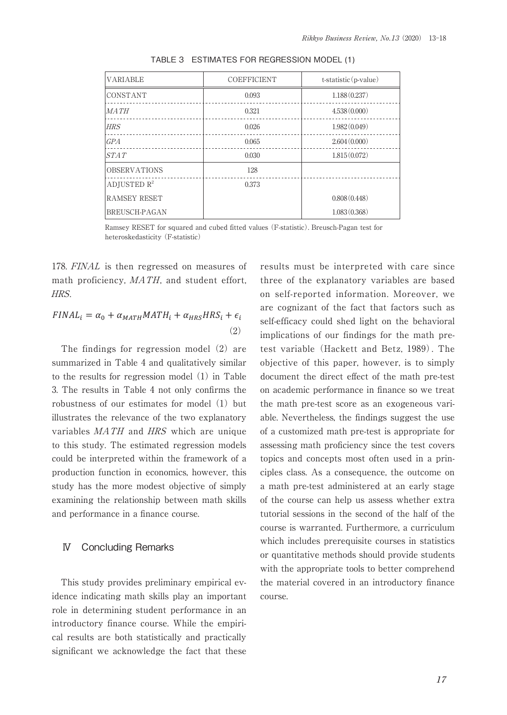| <b>VARIABLE</b>      | <b>COEFFICIENT</b> | $t$ -statistic (p-value) |
|----------------------|--------------------|--------------------------|
| <b>CONSTANT</b>      | 0.093              | 1.188(0.237)             |
| MATH                 | 0.321              | 4.538(0.000)             |
| <b>HRS</b>           | 0.026              | 1.982(0.049)             |
| <b>GPA</b>           | 0.065              | 2.604(0.000)             |
| STAT                 | 0.030              | 1.815(0.072)             |
| <b>OBSERVATIONS</b>  | 128                |                          |
| ADJUSTED $R^2$       | 0.373              |                          |
| <b>RAMSEY RESET</b>  |                    | 0.808(0.448)             |
| <b>BREUSCH-PAGAN</b> |                    | 1.083(0.368)             |

TABLE 3 ESTIMATES FOR REGRESSION MODEL (1)

Ramsey RESET for squared and cubed fitted values (F-statistic). Breusch-Pagan test for heteroskedasticity (F-statistic)

178. FINAL is then regressed on measures of math proficiency, MATH, and student effort, HRS.

$$
FINAL_i = \alpha_0 + \alpha_{MATH} MATH_i + \alpha_{HRS} HRS_i + \epsilon_i
$$
\n(2)

The findings for regression model (2) are summarized in Table 4 and qualitatively similar to the results for regression model (1) in Table 3. The results in Table 4 not only confirms the robustness of our estimates for model (1) but illustrates the relevance of the two explanatory variables MATH and HRS which are unique to this study. The estimated regression models could be interpreted within the framework of a production function in economics, however, this study has the more modest objective of simply examining the relationship between math skills and performance in a finance course.

## Ⅳ Concluding Remarks

This study provides preliminary empirical evidence indicating math skills play an important role in determining student performance in an introductory finance course. While the empirical results are both statistically and practically significant we acknowledge the fact that these results must be interpreted with care since three of the explanatory variables are based on self-reported information. Moreover, we are cognizant of the fact that factors such as self-efficacy could shed light on the behavioral implications of our findings for the math pretest variable (Hackett and Betz, 1989). The objective of this paper, however, is to simply document the direct effect of the math pre-test on academic performance in finance so we treat the math pre-test score as an exogeneous variable. Nevertheless, the findings suggest the use of a customized math pre-test is appropriate for assessing math proficiency since the test covers topics and concepts most often used in a principles class. As a consequence, the outcome on a math pre-test administered at an early stage of the course can help us assess whether extra tutorial sessions in the second of the half of the course is warranted. Furthermore, a curriculum which includes prerequisite courses in statistics or quantitative methods should provide students with the appropriate tools to better comprehend the material covered in an introductory finance course.